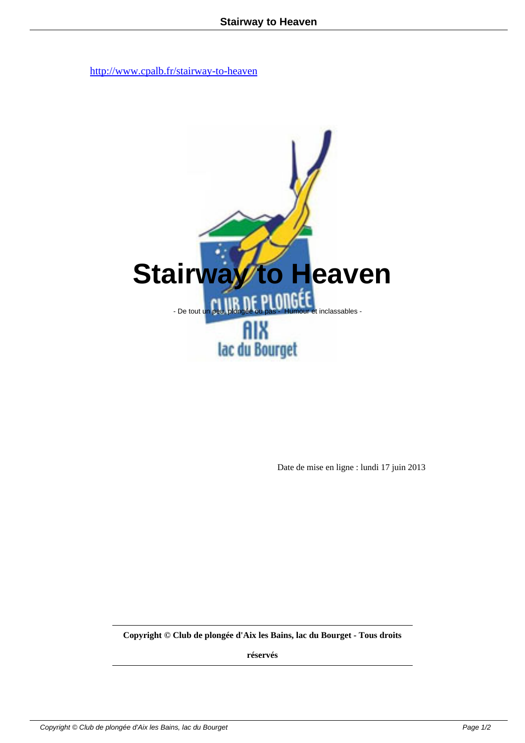

Date de mise en ligne : lundi 17 juin 2013

**Copyright © Club de plongée d'Aix les Bains, lac du Bourget - Tous droits**

**réservés**